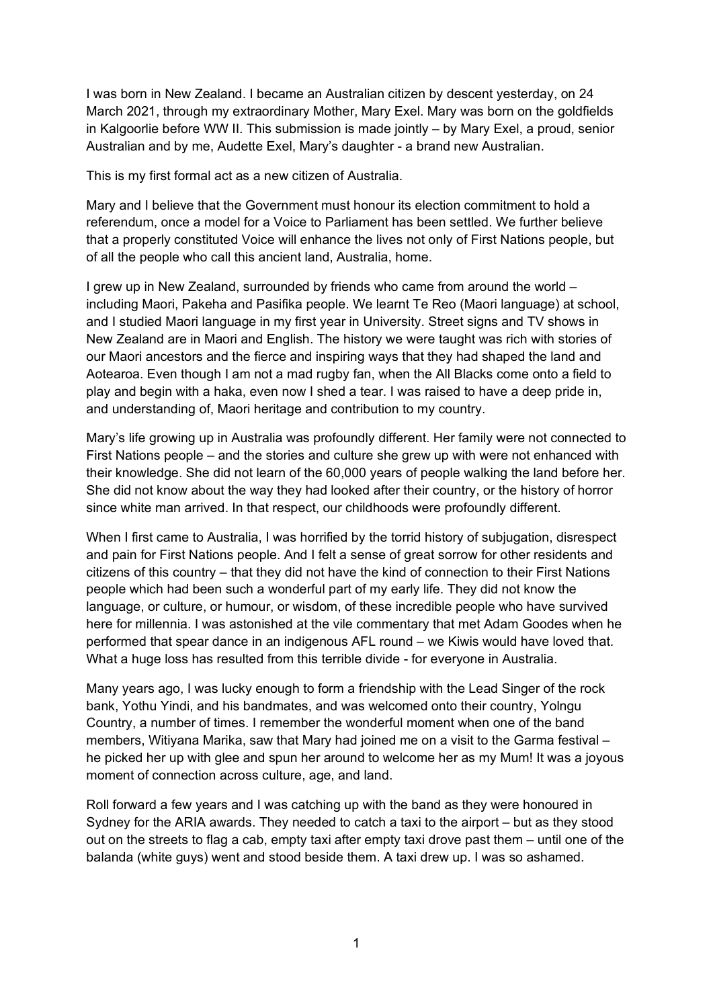I was born in New Zealand. I became an Australian citizen by descent yesterday, on 24 March 2021, through my extraordinary Mother, Mary Exel. Mary was born on the goldfields in Kalgoorlie before WW II. This submission is made jointly – by Mary Exel, a proud, senior Australian and by me, Audette Exel, Mary's daughter - a brand new Australian.

This is my first formal act as a new citizen of Australia.

Mary and I believe that the Government must honour its election commitment to hold a referendum, once a model for a Voice to Parliament has been settled. We further believe that a properly constituted Voice will enhance the lives not only of First Nations people, but of all the people who call this ancient land, Australia, home.

I grew up in New Zealand, surrounded by friends who came from around the world – including Maori, Pakeha and Pasifika people. We learnt Te Reo (Maori language) at school, and I studied Maori language in my first year in University. Street signs and TV shows in New Zealand are in Maori and English. The history we were taught was rich with stories of our Maori ancestors and the fierce and inspiring ways that they had shaped the land and Aotearoa. Even though I am not a mad rugby fan, when the All Blacks come onto a field to play and begin with a haka, even now I shed a tear. I was raised to have a deep pride in, and understanding of, Maori heritage and contribution to my country.

Mary's life growing up in Australia was profoundly different. Her family were not connected to First Nations people – and the stories and culture she grew up with were not enhanced with their knowledge. She did not learn of the 60,000 years of people walking the land before her. She did not know about the way they had looked after their country, or the history of horror since white man arrived. In that respect, our childhoods were profoundly different.

When I first came to Australia, I was horrified by the torrid history of subjugation, disrespect and pain for First Nations people. And I felt a sense of great sorrow for other residents and citizens of this country – that they did not have the kind of connection to their First Nations people which had been such a wonderful part of my early life. They did not know the language, or culture, or humour, or wisdom, of these incredible people who have survived here for millennia. I was astonished at the vile commentary that met Adam Goodes when he performed that spear dance in an indigenous AFL round – we Kiwis would have loved that. What a huge loss has resulted from this terrible divide - for everyone in Australia.

Many years ago, I was lucky enough to form a friendship with the Lead Singer of the rock bank, Yothu Yindi, and his bandmates, and was welcomed onto their country, Yolngu Country, a number of times. I remember the wonderful moment when one of the band members, Witiyana Marika, saw that Mary had joined me on a visit to the Garma festival – he picked her up with glee and spun her around to welcome her as my Mum! It was a joyous moment of connection across culture, age, and land.

Roll forward a few years and I was catching up with the band as they were honoured in Sydney for the ARIA awards. They needed to catch a taxi to the airport – but as they stood out on the streets to flag a cab, empty taxi after empty taxi drove past them – until one of the balanda (white guys) went and stood beside them. A taxi drew up. I was so ashamed.